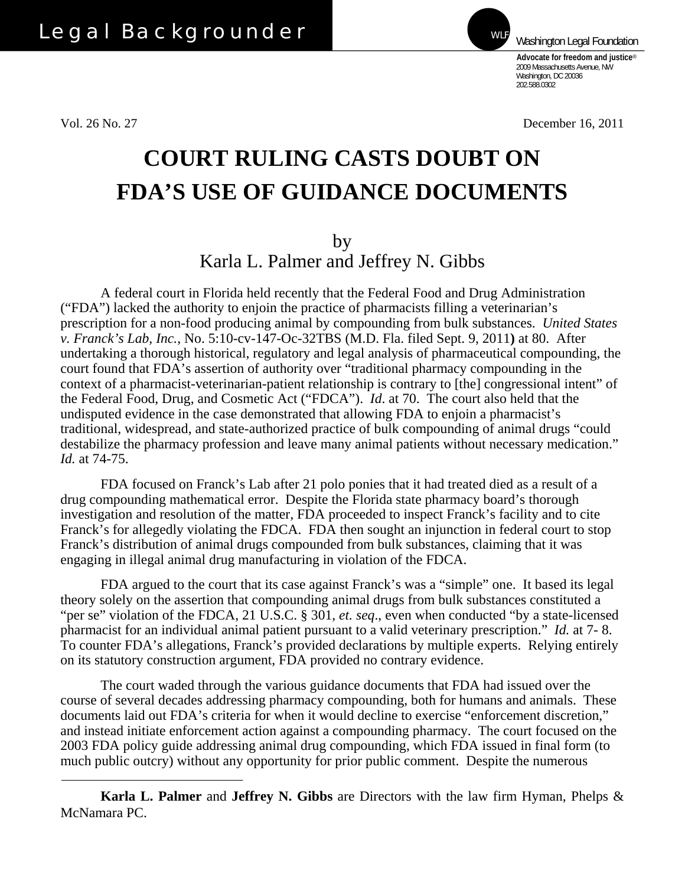Vol. 26 No. 27 December 16, 2011

**Advocate for freedom and justice**® 2009 Massachusetts Avenue, NW Washington, DC 20036 202.588.0302

Washington Legal Foundation

## **COURT RULING CASTS DOUBT ON FDA'S USE OF GUIDANCE DOCUMENTS**

by

Karla L. Palmer and Jeffrey N. Gibbs

A federal court in Florida held recently that the Federal Food and Drug Administration ("FDA") lacked the authority to enjoin the practice of pharmacists filling a veterinarian's prescription for a non-food producing animal by compounding from bulk substances. *United States v. Franck's Lab, Inc.*, No. 5:10-cv-147-Oc-32TBS (M.D. Fla. filed Sept. 9, 2011**)** at 80. After undertaking a thorough historical, regulatory and legal analysis of pharmaceutical compounding, the court found that FDA's assertion of authority over "traditional pharmacy compounding in the context of a pharmacist-veterinarian-patient relationship is contrary to [the] congressional intent" of the Federal Food, Drug, and Cosmetic Act ("FDCA"). *Id*. at 70. The court also held that the undisputed evidence in the case demonstrated that allowing FDA to enjoin a pharmacist's traditional, widespread, and state-authorized practice of bulk compounding of animal drugs "could destabilize the pharmacy profession and leave many animal patients without necessary medication." *Id.* at 74-75.

FDA focused on Franck's Lab after 21 polo ponies that it had treated died as a result of a drug compounding mathematical error. Despite the Florida state pharmacy board's thorough investigation and resolution of the matter, FDA proceeded to inspect Franck's facility and to cite Franck's for allegedly violating the FDCA. FDA then sought an injunction in federal court to stop Franck's distribution of animal drugs compounded from bulk substances, claiming that it was engaging in illegal animal drug manufacturing in violation of the FDCA.

FDA argued to the court that its case against Franck's was a "simple" one. It based its legal theory solely on the assertion that compounding animal drugs from bulk substances constituted a "per se" violation of the FDCA, 21 U.S.C. § 301, *et. seq*., even when conducted "by a state-licensed pharmacist for an individual animal patient pursuant to a valid veterinary prescription." *Id.* at 7- 8. To counter FDA's allegations, Franck's provided declarations by multiple experts. Relying entirely on its statutory construction argument, FDA provided no contrary evidence.

The court waded through the various guidance documents that FDA had issued over the course of several decades addressing pharmacy compounding, both for humans and animals. These documents laid out FDA's criteria for when it would decline to exercise "enforcement discretion," and instead initiate enforcement action against a compounding pharmacy. The court focused on the 2003 FDA policy guide addressing animal drug compounding, which FDA issued in final form (to much public outcry) without any opportunity for prior public comment. Despite the numerous

**Karla L. Palmer** and **Jeffrey N. Gibbs** are Directors with the law firm Hyman, Phelps & McNamara PC.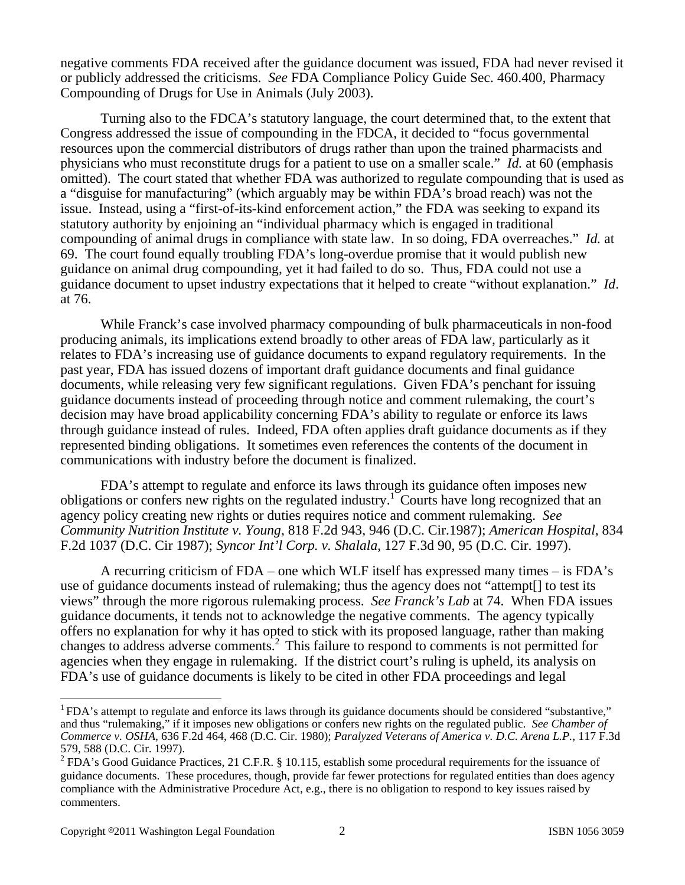negative comments FDA received after the guidance document was issued, FDA had never revised it or publicly addressed the criticisms. *See* FDA Compliance Policy Guide Sec. 460.400, Pharmacy Compounding of Drugs for Use in Animals (July 2003).

Turning also to the FDCA's statutory language, the court determined that, to the extent that Congress addressed the issue of compounding in the FDCA, it decided to "focus governmental resources upon the commercial distributors of drugs rather than upon the trained pharmacists and physicians who must reconstitute drugs for a patient to use on a smaller scale." *Id.* at 60 (emphasis omitted). The court stated that whether FDA was authorized to regulate compounding that is used as a "disguise for manufacturing" (which arguably may be within FDA's broad reach) was not the issue. Instead, using a "first-of-its-kind enforcement action," the FDA was seeking to expand its statutory authority by enjoining an "individual pharmacy which is engaged in traditional compounding of animal drugs in compliance with state law. In so doing, FDA overreaches." *Id.* at 69. The court found equally troubling FDA's long-overdue promise that it would publish new guidance on animal drug compounding, yet it had failed to do so. Thus, FDA could not use a guidance document to upset industry expectations that it helped to create "without explanation." *Id*. at 76.

While Franck's case involved pharmacy compounding of bulk pharmaceuticals in non-food producing animals, its implications extend broadly to other areas of FDA law, particularly as it relates to FDA's increasing use of guidance documents to expand regulatory requirements. In the past year, FDA has issued dozens of important draft guidance documents and final guidance documents, while releasing very few significant regulations. Given FDA's penchant for issuing guidance documents instead of proceeding through notice and comment rulemaking, the court's decision may have broad applicability concerning FDA's ability to regulate or enforce its laws through guidance instead of rules. Indeed, FDA often applies draft guidance documents as if they represented binding obligations. It sometimes even references the contents of the document in communications with industry before the document is finalized.

FDA's attempt to regulate and enforce its laws through its guidance often imposes new obligations or confers new rights on the regulated industry.<sup>1</sup> Courts have long recognized that an agency policy creating new rights or duties requires notice and comment rulemaking. *See Community Nutrition Institute v. Young*, 818 F.2d 943, 946 (D.C. Cir.1987); *American Hospital*, 834 F.2d 1037 (D.C. Cir 1987); *Syncor Int'l Corp. v. Shalala*, 127 F.3d 90, 95 (D.C. Cir. 1997).

A recurring criticism of FDA – one which WLF itself has expressed many times – is FDA's use of guidance documents instead of rulemaking; thus the agency does not "attempt[] to test its views" through the more rigorous rulemaking process. *See Franck's Lab* at 74. When FDA issues guidance documents, it tends not to acknowledge the negative comments. The agency typically offers no explanation for why it has opted to stick with its proposed language, rather than making changes to address adverse comments.2 This failure to respond to comments is not permitted for agencies when they engage in rulemaking. If the district court's ruling is upheld, its analysis on FDA's use of guidance documents is likely to be cited in other FDA proceedings and legal

 $\overline{a}$ 

 $1$  FDA's attempt to regulate and enforce its laws through its guidance documents should be considered "substantive," and thus "rulemaking," if it imposes new obligations or confers new rights on the regulated public. *See Chamber of Commerce v. OSHA*, 636 F.2d 464, 468 (D.C. Cir. 1980); *Paralyzed Veterans of America v. D.C. Arena L.P.*, 117 F.3d 579, 588 (D.C. Cir. 1997).

<sup>&</sup>lt;sup>2</sup> FDA's Good Guidance Practices, 21 C.F.R. § 10.115, establish some procedural requirements for the issuance of guidance documents. These procedures, though, provide far fewer protections for regulated entities than does agency compliance with the Administrative Procedure Act, e.g., there is no obligation to respond to key issues raised by commenters.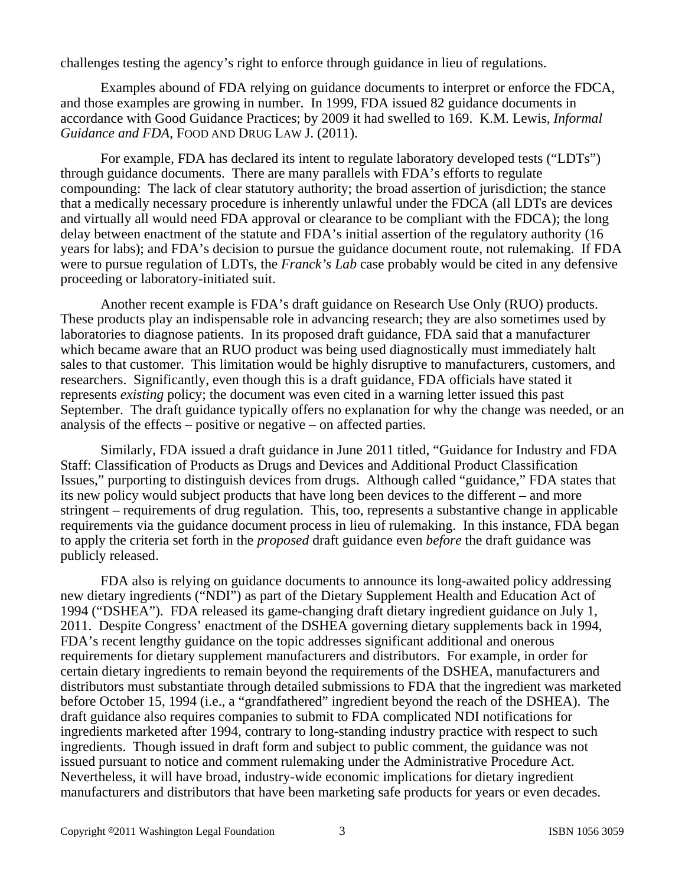challenges testing the agency's right to enforce through guidance in lieu of regulations.

Examples abound of FDA relying on guidance documents to interpret or enforce the FDCA, and those examples are growing in number. In 1999, FDA issued 82 guidance documents in accordance with Good Guidance Practices; by 2009 it had swelled to 169. K.M. Lewis, *Informal Guidance and FDA*, FOOD AND DRUG LAW J. (2011).

For example, FDA has declared its intent to regulate laboratory developed tests ("LDTs") through guidance documents. There are many parallels with FDA's efforts to regulate compounding: The lack of clear statutory authority; the broad assertion of jurisdiction; the stance that a medically necessary procedure is inherently unlawful under the FDCA (all LDTs are devices and virtually all would need FDA approval or clearance to be compliant with the FDCA); the long delay between enactment of the statute and FDA's initial assertion of the regulatory authority (16 years for labs); and FDA's decision to pursue the guidance document route, not rulemaking. If FDA were to pursue regulation of LDTs, the *Franck's Lab* case probably would be cited in any defensive proceeding or laboratory-initiated suit.

Another recent example is FDA's draft guidance on Research Use Only (RUO) products. These products play an indispensable role in advancing research; they are also sometimes used by laboratories to diagnose patients. In its proposed draft guidance, FDA said that a manufacturer which became aware that an RUO product was being used diagnostically must immediately halt sales to that customer. This limitation would be highly disruptive to manufacturers, customers, and researchers. Significantly, even though this is a draft guidance, FDA officials have stated it represents *existing* policy; the document was even cited in a warning letter issued this past September. The draft guidance typically offers no explanation for why the change was needed, or an analysis of the effects – positive or negative – on affected parties.

Similarly, FDA issued a draft guidance in June 2011 titled, "Guidance for Industry and FDA Staff: Classification of Products as Drugs and Devices and Additional Product Classification Issues," purporting to distinguish devices from drugs. Although called "guidance," FDA states that its new policy would subject products that have long been devices to the different – and more stringent – requirements of drug regulation. This, too, represents a substantive change in applicable requirements via the guidance document process in lieu of rulemaking. In this instance, FDA began to apply the criteria set forth in the *proposed* draft guidance even *before* the draft guidance was publicly released.

FDA also is relying on guidance documents to announce its long-awaited policy addressing new dietary ingredients ("NDI") as part of the Dietary Supplement Health and Education Act of 1994 ("DSHEA"). FDA released its game-changing draft dietary ingredient guidance on July 1, 2011. Despite Congress' enactment of the DSHEA governing dietary supplements back in 1994, FDA's recent lengthy guidance on the topic addresses significant additional and onerous requirements for dietary supplement manufacturers and distributors. For example, in order for certain dietary ingredients to remain beyond the requirements of the DSHEA, manufacturers and distributors must substantiate through detailed submissions to FDA that the ingredient was marketed before October 15, 1994 (i.e., a "grandfathered" ingredient beyond the reach of the DSHEA). The draft guidance also requires companies to submit to FDA complicated NDI notifications for ingredients marketed after 1994, contrary to long-standing industry practice with respect to such ingredients. Though issued in draft form and subject to public comment, the guidance was not issued pursuant to notice and comment rulemaking under the Administrative Procedure Act. Nevertheless, it will have broad, industry-wide economic implications for dietary ingredient manufacturers and distributors that have been marketing safe products for years or even decades.